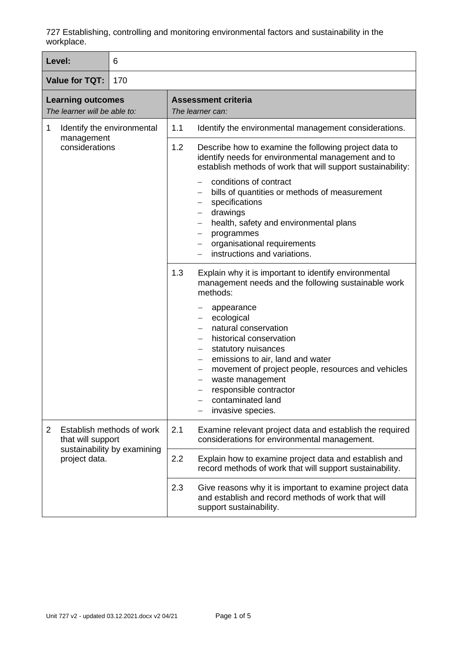| Level:                                                   |                                                                                                | 6                                                                                                               |                                                                                                                                                                                                                                                                                                                                                                                               |
|----------------------------------------------------------|------------------------------------------------------------------------------------------------|-----------------------------------------------------------------------------------------------------------------|-----------------------------------------------------------------------------------------------------------------------------------------------------------------------------------------------------------------------------------------------------------------------------------------------------------------------------------------------------------------------------------------------|
| <b>Value for TQT:</b><br>170                             |                                                                                                |                                                                                                                 |                                                                                                                                                                                                                                                                                                                                                                                               |
| <b>Learning outcomes</b><br>The learner will be able to: |                                                                                                |                                                                                                                 | <b>Assessment criteria</b><br>The learner can:                                                                                                                                                                                                                                                                                                                                                |
| 1                                                        | Identify the environmental                                                                     |                                                                                                                 | 1.1<br>Identify the environmental management considerations.                                                                                                                                                                                                                                                                                                                                  |
| management<br>considerations                             |                                                                                                |                                                                                                                 | 1.2<br>Describe how to examine the following project data to<br>identify needs for environmental management and to<br>establish methods of work that will support sustainability:<br>conditions of contract<br>bills of quantities or methods of measurement                                                                                                                                  |
|                                                          |                                                                                                |                                                                                                                 | specifications<br>—<br>drawings<br>$\overline{\phantom{0}}$<br>health, safety and environmental plans<br>programmes<br>$\overline{\phantom{m}}$<br>organisational requirements<br>$\overline{\phantom{0}}$                                                                                                                                                                                    |
|                                                          |                                                                                                |                                                                                                                 | instructions and variations.                                                                                                                                                                                                                                                                                                                                                                  |
|                                                          |                                                                                                |                                                                                                                 | 1.3<br>Explain why it is important to identify environmental<br>management needs and the following sustainable work<br>methods:                                                                                                                                                                                                                                                               |
|                                                          |                                                                                                |                                                                                                                 | appearance<br>ecological<br>$\overline{\phantom{0}}$<br>natural conservation<br>historical conservation<br>statutory nuisances<br>$\qquad \qquad -$<br>emissions to air, land and water<br>$\overline{\phantom{m}}$<br>movement of project people, resources and vehicles<br>$\overline{\phantom{m}}$<br>waste management<br>responsible contractor<br>contaminated land<br>invasive species. |
| $\overline{2}$                                           | Establish methods of work<br>that will support<br>sustainability by examining<br>project data. | 2.1<br>Examine relevant project data and establish the required<br>considerations for environmental management. |                                                                                                                                                                                                                                                                                                                                                                                               |
|                                                          |                                                                                                | 2.2<br>2.3                                                                                                      | Explain how to examine project data and establish and<br>record methods of work that will support sustainability.                                                                                                                                                                                                                                                                             |
|                                                          |                                                                                                |                                                                                                                 | Give reasons why it is important to examine project data<br>and establish and record methods of work that will<br>support sustainability.                                                                                                                                                                                                                                                     |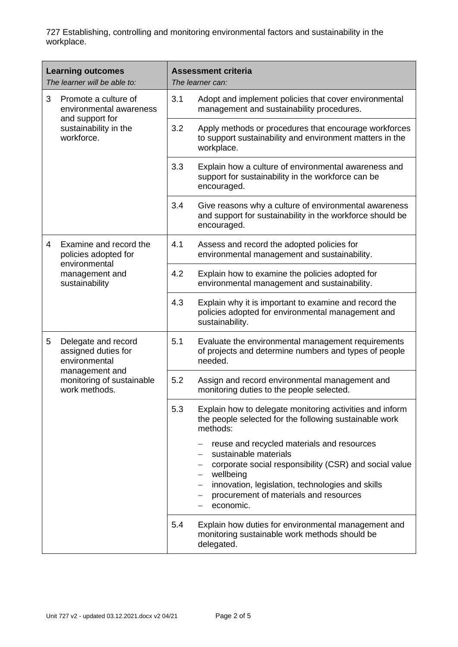| <b>Learning outcomes</b><br>The learner will be able to:             | <b>Assessment criteria</b><br>The learner can:                                                                                                                                                                                                                             |
|----------------------------------------------------------------------|----------------------------------------------------------------------------------------------------------------------------------------------------------------------------------------------------------------------------------------------------------------------------|
| 3<br>Promote a culture of<br>environmental awareness                 | 3.1<br>Adopt and implement policies that cover environmental<br>management and sustainability procedures.                                                                                                                                                                  |
| and support for<br>sustainability in the<br>workforce.               | 3.2<br>Apply methods or procedures that encourage workforces<br>to support sustainability and environment matters in the<br>workplace.                                                                                                                                     |
|                                                                      | 3.3<br>Explain how a culture of environmental awareness and<br>support for sustainability in the workforce can be<br>encouraged.                                                                                                                                           |
|                                                                      | 3.4<br>Give reasons why a culture of environmental awareness<br>and support for sustainability in the workforce should be<br>encouraged.                                                                                                                                   |
| Examine and record the<br>4<br>policies adopted for<br>environmental | 4.1<br>Assess and record the adopted policies for<br>environmental management and sustainability.                                                                                                                                                                          |
| management and<br>sustainability                                     | 4.2<br>Explain how to examine the policies adopted for<br>environmental management and sustainability.                                                                                                                                                                     |
|                                                                      | 4.3<br>Explain why it is important to examine and record the<br>policies adopted for environmental management and<br>sustainability.                                                                                                                                       |
| 5<br>Delegate and record<br>assigned duties for<br>environmental     | 5.1<br>Evaluate the environmental management requirements<br>of projects and determine numbers and types of people<br>needed.                                                                                                                                              |
| management and<br>monitoring of sustainable<br>work methods.         | 5.2<br>Assign and record environmental management and<br>monitoring duties to the people selected.                                                                                                                                                                         |
|                                                                      | 5.3<br>Explain how to delegate monitoring activities and inform<br>the people selected for the following sustainable work<br>methods:                                                                                                                                      |
|                                                                      | reuse and recycled materials and resources<br>sustainable materials<br>corporate social responsibility (CSR) and social value<br>wellbeing<br>innovation, legislation, technologies and skills<br>$\qquad \qquad -$<br>procurement of materials and resources<br>economic. |
|                                                                      | 5.4<br>Explain how duties for environmental management and<br>monitoring sustainable work methods should be<br>delegated.                                                                                                                                                  |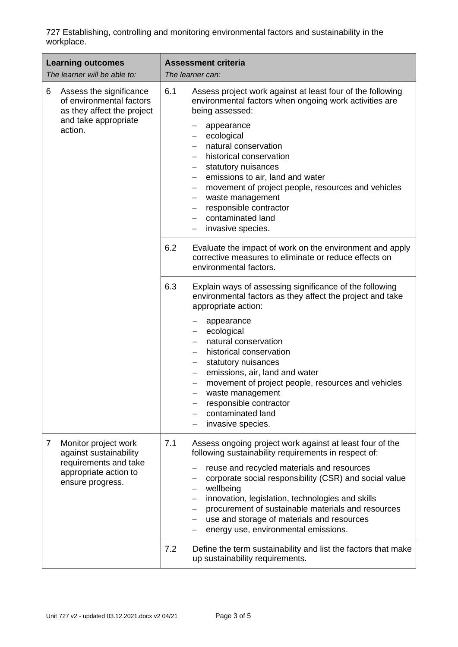| <b>Learning outcomes</b><br>The learner will be able to:                                                                               | <b>Assessment criteria</b><br>The learner can:                                                                                                                                                                                                                                                                                                                                                                                                                                                                                                                                       |
|----------------------------------------------------------------------------------------------------------------------------------------|--------------------------------------------------------------------------------------------------------------------------------------------------------------------------------------------------------------------------------------------------------------------------------------------------------------------------------------------------------------------------------------------------------------------------------------------------------------------------------------------------------------------------------------------------------------------------------------|
| Assess the significance<br>6<br>of environmental factors<br>as they affect the project<br>and take appropriate<br>action.              | 6.1<br>Assess project work against at least four of the following<br>environmental factors when ongoing work activities are<br>being assessed:<br>appearance<br>ecological<br>—<br>natural conservation<br>historical conservation<br>statutory nuisances<br>emissions to air, land and water<br>$\qquad \qquad -$<br>movement of project people, resources and vehicles<br>$\overline{\phantom{m}}$<br>waste management<br>responsible contractor<br>$\qquad \qquad -$<br>contaminated land<br>invasive species.<br>6.2<br>Evaluate the impact of work on the environment and apply |
|                                                                                                                                        | corrective measures to eliminate or reduce effects on<br>environmental factors.                                                                                                                                                                                                                                                                                                                                                                                                                                                                                                      |
|                                                                                                                                        | 6.3<br>Explain ways of assessing significance of the following<br>environmental factors as they affect the project and take<br>appropriate action:<br>appearance<br>ecological<br>natural conservation<br>historical conservation<br>statutory nuisances<br>emissions, air, land and water<br>movement of project people, resources and vehicles<br>waste management<br>—<br>responsible contractor<br>contaminated land<br>invasive species.                                                                                                                                        |
| Monitor project work<br>$\overline{7}$<br>against sustainability<br>requirements and take<br>appropriate action to<br>ensure progress. | 7.1<br>Assess ongoing project work against at least four of the<br>following sustainability requirements in respect of:<br>reuse and recycled materials and resources<br>corporate social responsibility (CSR) and social value<br>wellbeing<br>innovation, legislation, technologies and skills<br>$\overline{\phantom{0}}$<br>procurement of sustainable materials and resources<br>use and storage of materials and resources<br>energy use, environmental emissions.                                                                                                             |
|                                                                                                                                        | 7.2<br>Define the term sustainability and list the factors that make<br>up sustainability requirements.                                                                                                                                                                                                                                                                                                                                                                                                                                                                              |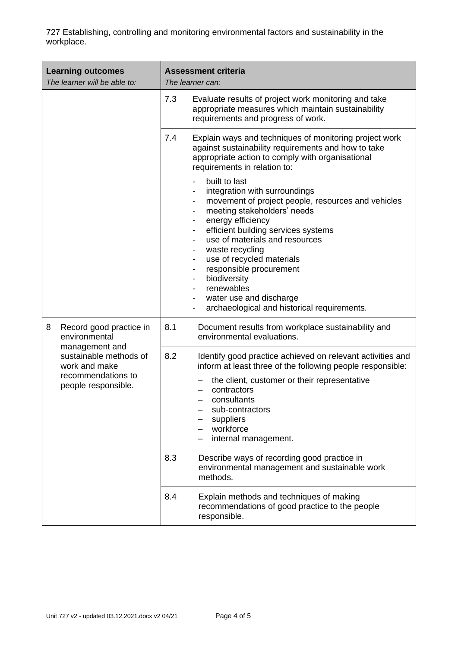| <b>Learning outcomes</b><br>The learner will be able to:                             | <b>Assessment criteria</b><br>The learner can:                                                                                                                                                                                                                                                                                                                                                                                                                                                                                                                   |
|--------------------------------------------------------------------------------------|------------------------------------------------------------------------------------------------------------------------------------------------------------------------------------------------------------------------------------------------------------------------------------------------------------------------------------------------------------------------------------------------------------------------------------------------------------------------------------------------------------------------------------------------------------------|
|                                                                                      | 7.3<br>Evaluate results of project work monitoring and take<br>appropriate measures which maintain sustainability<br>requirements and progress of work.                                                                                                                                                                                                                                                                                                                                                                                                          |
|                                                                                      | 7.4<br>Explain ways and techniques of monitoring project work<br>against sustainability requirements and how to take<br>appropriate action to comply with organisational<br>requirements in relation to:                                                                                                                                                                                                                                                                                                                                                         |
|                                                                                      | built to last<br>$\overline{\phantom{a}}$<br>integration with surroundings<br>movement of project people, resources and vehicles<br>meeting stakeholders' needs<br>energy efficiency<br>$\overline{\phantom{a}}$<br>efficient building services systems<br>use of materials and resources<br>waste recycling<br>use of recycled materials<br>$\overline{\phantom{a}}$<br>responsible procurement<br>$\overline{\phantom{a}}$<br>biodiversity<br>$\overline{\phantom{a}}$<br>renewables<br>water use and discharge<br>archaeological and historical requirements. |
| Record good practice in<br>8<br>environmental<br>management and                      | 8.1<br>Document results from workplace sustainability and<br>environmental evaluations.                                                                                                                                                                                                                                                                                                                                                                                                                                                                          |
| sustainable methods of<br>work and make<br>recommendations to<br>people responsible. | 8.2<br>Identify good practice achieved on relevant activities and<br>inform at least three of the following people responsible:<br>the client, customer or their representative<br>contractors<br>consultants<br>sub-contractors<br>suppliers<br>workforce<br>internal management.                                                                                                                                                                                                                                                                               |
|                                                                                      | 8.3<br>Describe ways of recording good practice in<br>environmental management and sustainable work<br>methods.                                                                                                                                                                                                                                                                                                                                                                                                                                                  |
|                                                                                      | 8.4<br>Explain methods and techniques of making<br>recommendations of good practice to the people<br>responsible.                                                                                                                                                                                                                                                                                                                                                                                                                                                |